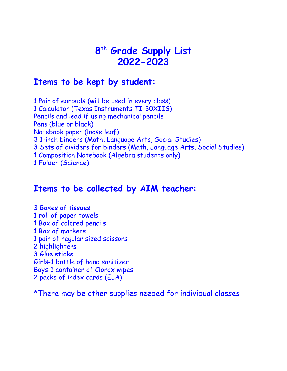## **th Grade Supply List 2022-2023**

## **Items to be kept by student:**

 Pair of earbuds (will be used in every class) Calculator (Texas Instruments TI-30XIIS) Pencils and lead if using mechanical pencils Pens (blue or black) Notebook paper (loose leaf) 1-inch binders (Math, Language Arts, Social Studies) Sets of dividers for binders (Math, Language Arts, Social Studies) Composition Notebook (Algebra students only) Folder (Science)

## **Items to be collected by AIM teacher:**

 Boxes of tissues roll of paper towels Box of colored pencils Box of markers pair of regular sized scissors highlighters Glue sticks Girls-1 bottle of hand sanitizer Boys-1 container of Clorox wipes packs of index cards (ELA)

\*There may be other supplies needed for individual classes